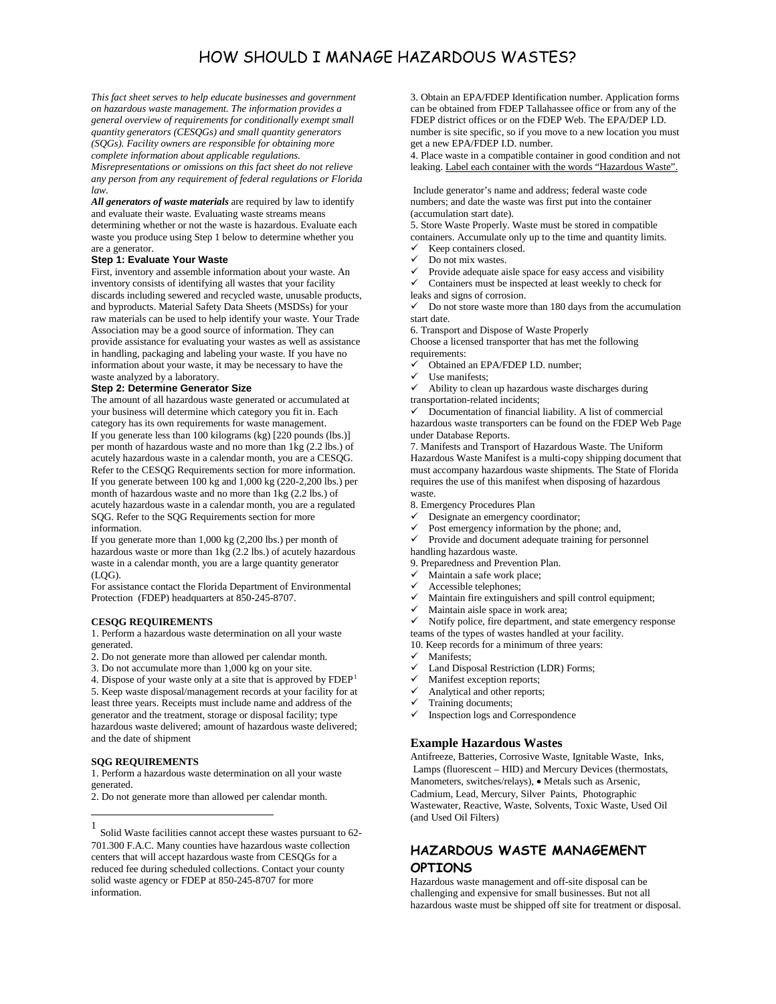# HOW SHOULD I MANAGE HAZARDOUS WASTES?

*This fact sheet serves to help educate businesses and government on hazardous waste management. The information provides a general overview of requirements for conditionally exempt small quantity generators (CESQGs) and small quantity generators (SQGs). Facility owners are responsible for obtaining more complete information about applicable regulations. Misrepresentations or omissions on this fact sheet do not relieve any person from any requirement of federal regulations or Florida law.*

*All generators of waste materials* are required by law to identify and evaluate their waste. Evaluating waste streams means determining whether or not the waste is hazardous. Evaluate each waste you produce using Step 1 below to determine whether you are a generator.

#### **Step 1: Evaluate Your Waste**

First, inventory and assemble information about your waste. An inventory consists of identifying all wastes that your facility discards including sewered and recycled waste, unusable products, and byproducts. Material Safety Data Sheets (MSDSs) for your raw materials can be used to help identify your waste. Your Trade Association may be a good source of information. They can provide assistance for evaluating your wastes as well as assistance in handling, packaging and labeling your waste. If you have no information about your waste, it may be necessary to have the waste analyzed by a laboratory.

#### **Step 2: Determine Generator Size**

The amount of all hazardous waste generated or accumulated at your business will determine which category you fit in. Each category has its own requirements for waste management. If you generate less than 100 kilograms (kg) [220 pounds (lbs.)] per month of hazardous waste and no more than 1kg (2.2 lbs.) of acutely hazardous waste in a calendar month, you are a CESQG. Refer to the CESQG Requirements section for more information. If you generate between 100 kg and 1,000 kg (220-2,200 lbs.) per month of hazardous waste and no more than 1kg (2.2 lbs.) of acutely hazardous waste in a calendar month, you are a regulated SQG. Refer to the SQG Requirements section for more information.

If you generate more than 1,000 kg (2,200 lbs.) per month of hazardous waste or more than 1kg (2.2 lbs.) of acutely hazardous waste in a calendar month, you are a large quantity generator  $(LOG).$ 

For assistance contact the Florida Department of Environmental Protection (FDEP) headquarters at 850-245-8707.

#### **CESQG REQUIREMENTS**

1. Perform a hazardous waste determination on all your waste generated.

2. Do not generate more than allowed per calendar month.

3. Do not accumulate more than 1,000 kg on your site.

4. Dispose of your waste only at a site that is approved by  $FDEP<sup>1</sup>$  $FDEP<sup>1</sup>$  $FDEP<sup>1</sup>$ 5. Keep waste disposal/management records at your facility for at least three years. Receipts must include name and address of the generator and the treatment, storage or disposal facility; type hazardous waste delivered; amount of hazardous waste delivered; and the date of shipment

### **SQG REQUIREMENTS**

1. Perform a hazardous waste determination on all your waste generated.

2. Do not generate more than allowed per calendar month.

3. Obtain an EPA/FDEP Identification number. Application forms can be obtained from FDEP Tallahassee office or from any of the FDEP district offices or on the FDEP Web. The EPA/DEP I.D. number is site specific, so if you move to a new location you must get a new EPA/FDEP I.D. number.

4. Place waste in a compatible container in good condition and not leaking. Label each container with the words "Hazardous Waste".

Include generator's name and address; federal waste code numbers; and date the waste was first put into the container (accumulation start date).

5. Store Waste Properly. Waste must be stored in compatible containers. Accumulate only up to the time and quantity limits.

- $\checkmark$  Keep containers closed.
- Do not mix wastes.
- $\checkmark$  Provide adequate aisle space for easy access and visibility  $\checkmark$  Containers must be inspected at least weekly to check for

Containers must be inspected at least weekly to check for

leaks and signs of corrosion.

 Do not store waste more than 180 days from the accumulation start date.

6. Transport and Dispose of Waste Properly

Choose a licensed transporter that has met the following requirements:

- $\checkmark$  Obtained an EPA/FDEP I.D. number;
- $\checkmark$  Use manifests;<br> $\checkmark$  Ability to clean

 Ability to clean up hazardous waste discharges during transportation-related incidents;

 Documentation of financial liability. A list of commercial hazardous waste transporters can be found on the FDEP Web Page under Database Reports.

7. Manifests and Transport of Hazardous Waste. The Uniform Hazardous Waste Manifest is a multi-copy shipping document that must accompany hazardous waste shipments. The State of Florida requires the use of this manifest when disposing of hazardous waste.

8. Emergency Procedures Plan

- $\checkmark$  Designate an emergency coordinator;<br> $\checkmark$  Post emergency information by the all
- $\checkmark$  Post emergency information by the phone; and,<br> $\checkmark$  Provide and document adequate training for per

 Provide and document adequate training for personnel handling hazardous waste.

- 9. Preparedness and Prevention Plan.
- Maintain a safe work place;
- $\checkmark$  Accessible telephones;
- Maintain fire extinguishers and spill control equipment;
- $\checkmark$  Maintain aisle space in work area;<br> $\checkmark$  Notify police fire department, and

 Notify police, fire department, and state emergency response teams of the types of wastes handled at your facility.

10. Keep records for a minimum of three years:

- $\checkmark$  Manifests;
- Land Disposal Restriction (LDR) Forms;
- $\checkmark$  Manifest exception reports;
- $\checkmark$  Analytical and other reports;
- Training documents;
- $\checkmark$  Inspection logs and Correspondence

### **Example Hazardous Wastes**

Antifreeze, Batteries, Corrosive Waste, Ignitable Waste, Inks, Lamps (fluorescent – HID) and Mercury Devices (thermostats, Manometers, switches/relays), • Metals such as Arsenic, Cadmium, Lead, Mercury, Silver Paints, Photographic Wastewater, Reactive, Waste, Solvents, Toxic Waste, Used Oil (and Used Oil Filters)

# **HAZARDOUS WASTE MANAGEMENT OPTIONS**

Hazardous waste management and off-site disposal can be challenging and expensive for small businesses. But not all hazardous waste must be shipped off site for treatment or disposal.

<span id="page-0-0"></span> <sup>1</sup> Solid Waste facilities cannot accept these wastes pursuant to 62- 701.300 F.A.C. Many counties have hazardous waste collection centers that will accept hazardous waste from CESQGs for a reduced fee during scheduled collections. Contact your county solid waste agency or FDEP at 850-245-8707 for more information.